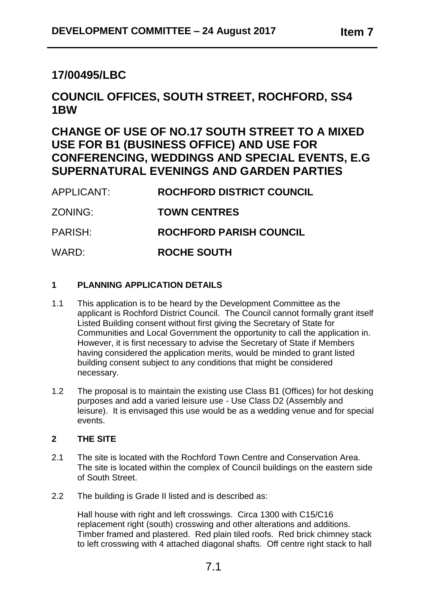## **17/00495/LBC**

# **COUNCIL OFFICES, SOUTH STREET, ROCHFORD, SS4 1BW**

## **CHANGE OF USE OF NO.17 SOUTH STREET TO A MIXED USE FOR B1 (BUSINESS OFFICE) AND USE FOR CONFERENCING, WEDDINGS AND SPECIAL EVENTS, E.G SUPERNATURAL EVENINGS AND GARDEN PARTIES**

| APPLICANT: | ROCHFORD DISTRICT COUNCIL      |
|------------|--------------------------------|
| ZONING:    | <b>TOWN CENTRES</b>            |
| PARISH:    | <b>ROCHFORD PARISH COUNCIL</b> |
| WARD:      | ROCHE SOUTH                    |

## **1 PLANNING APPLICATION DETAILS**

- 1.1 This application is to be heard by the Development Committee as the applicant is Rochford District Council. The Council cannot formally grant itself Listed Building consent without first giving the Secretary of State for Communities and Local Government the opportunity to call the application in. However, it is first necessary to advise the Secretary of State if Members having considered the application merits, would be minded to grant listed building consent subject to any conditions that might be considered necessary.
- 1.2 The proposal is to maintain the existing use Class B1 (Offices) for hot desking purposes and add a varied leisure use - Use Class D2 (Assembly and leisure). It is envisaged this use would be as a wedding venue and for special events.

## **2 THE SITE**

- 2.1 The site is located with the Rochford Town Centre and Conservation Area. The site is located within the complex of Council buildings on the eastern side of South Street.
- 2.2 The building is Grade II listed and is described as:

Hall house with right and left crosswings. Circa 1300 with C15/C16 replacement right (south) crosswing and other alterations and additions. Timber framed and plastered. Red plain tiled roofs. Red brick chimney stack to left crosswing with 4 attached diagonal shafts. Off centre right stack to hall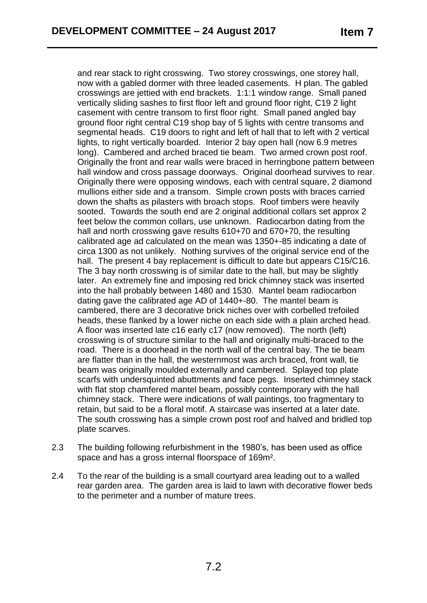and rear stack to right crosswing. Two storey crosswings, one storey hall, now with a gabled dormer with three leaded casements. H plan. The gabled crosswings are jettied with end brackets. 1:1:1 window range. Small paned vertically sliding sashes to first floor left and ground floor right, C19 2 light casement with centre transom to first floor right. Small paned angled bay ground floor right central C19 shop bay of 5 lights with centre transoms and segmental heads. C19 doors to right and left of hall that to left with 2 vertical lights, to right vertically boarded. Interior 2 bay open hall (now 6.9 metres long). Cambered and arched braced tie beam. Two armed crown post roof. Originally the front and rear walls were braced in herringbone pattern between hall window and cross passage doorways. Original doorhead survives to rear. Originally there were opposing windows, each with central square, 2 diamond mullions either side and a transom. Simple crown posts with braces carried down the shafts as pilasters with broach stops. Roof timbers were heavily sooted. Towards the south end are 2 original additional collars set approx 2 feet below the common collars, use unknown. Radiocarbon dating from the hall and north crosswing gave results 610+70 and 670+70, the resulting calibrated age ad calculated on the mean was 1350+-85 indicating a date of circa 1300 as not unlikely. Nothing survives of the original service end of the hall. The present 4 bay replacement is difficult to date but appears C15/C16. The 3 bay north crosswing is of similar date to the hall, but may be slightly later. An extremely fine and imposing red brick chimney stack was inserted into the hall probably between 1480 and 1530. Mantel beam radiocarbon dating gave the calibrated age AD of 1440+-80. The mantel beam is cambered, there are 3 decorative brick niches over with corbelled trefoiled heads, these flanked by a lower niche on each side with a plain arched head. A floor was inserted late c16 early c17 (now removed). The north (left) crosswing is of structure similar to the hall and originally multi-braced to the road. There is a doorhead in the north wall of the central bay. The tie beam are flatter than in the hall, the westernmost was arch braced, front wall, tie beam was originally moulded externally and cambered. Splayed top plate scarfs with undersquinted abuttments and face pegs. Inserted chimney stack with flat stop chamfered mantel beam, possibly contemporary with the hall chimney stack. There were indications of wall paintings, too fragmentary to retain, but said to be a floral motif. A staircase was inserted at a later date. The south crosswing has a simple crown post roof and halved and bridled top plate scarves.

- 2.3 The building following refurbishment in the 1980's, has been used as office space and has a gross internal floorspace of 169m².
- 2.4 To the rear of the building is a small courtyard area leading out to a walled rear garden area. The garden area is laid to lawn with decorative flower beds to the perimeter and a number of mature trees.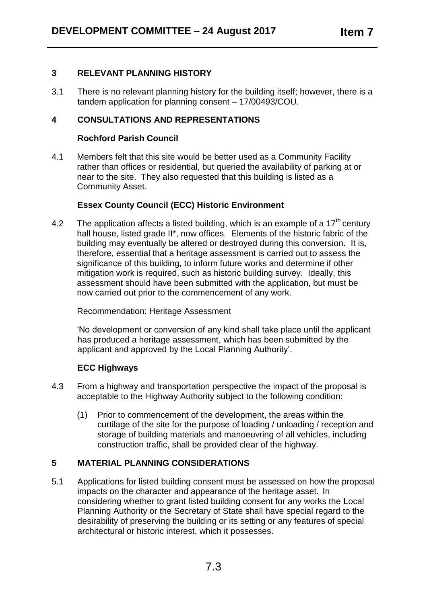#### **3 RELEVANT PLANNING HISTORY**

3.1 There is no relevant planning history for the building itself; however, there is a tandem application for planning consent – 17/00493/COU.

### **4 CONSULTATIONS AND REPRESENTATIONS**

#### **Rochford Parish Council**

4.1 Members felt that this site would be better used as a Community Facility rather than offices or residential, but queried the availability of parking at or near to the site. They also requested that this building is listed as a Community Asset.

#### **Essex County Council (ECC) Historic Environment**

4.2 The application affects a listed building, which is an example of a 17<sup>th</sup> century hall house, listed grade II\*, now offices. Elements of the historic fabric of the building may eventually be altered or destroyed during this conversion. It is, therefore, essential that a heritage assessment is carried out to assess the significance of this building, to inform future works and determine if other mitigation work is required, such as historic building survey. Ideally, this assessment should have been submitted with the application, but must be now carried out prior to the commencement of any work.

Recommendation: Heritage Assessment

'No development or conversion of any kind shall take place until the applicant has produced a heritage assessment, which has been submitted by the applicant and approved by the Local Planning Authority'.

#### **ECC Highways**

- 4.3 From a highway and transportation perspective the impact of the proposal is acceptable to the Highway Authority subject to the following condition:
	- (1) Prior to commencement of the development, the areas within the curtilage of the site for the purpose of loading / unloading / reception and storage of building materials and manoeuvring of all vehicles, including construction traffic, shall be provided clear of the highway.

#### **5 MATERIAL PLANNING CONSIDERATIONS**

5.1 Applications for listed building consent must be assessed on how the proposal impacts on the character and appearance of the heritage asset. In considering whether to grant listed building consent for any works the Local Planning Authority or the Secretary of State shall have special regard to the desirability of preserving the building or its setting or any features of special architectural or historic interest, which it possesses.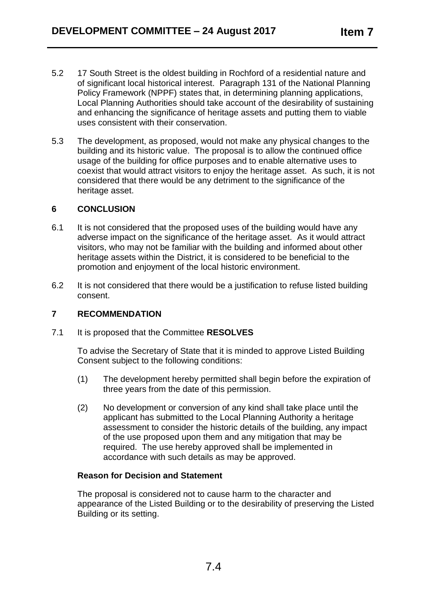- 5.2 17 South Street is the oldest building in Rochford of a residential nature and of significant local historical interest. Paragraph 131 of the National Planning Policy Framework (NPPF) states that, in determining planning applications, Local Planning Authorities should take account of the desirability of sustaining and enhancing the significance of heritage assets and putting them to viable uses consistent with their conservation.
- 5.3 The development, as proposed, would not make any physical changes to the building and its historic value. The proposal is to allow the continued office usage of the building for office purposes and to enable alternative uses to coexist that would attract visitors to enjoy the heritage asset. As such, it is not considered that there would be any detriment to the significance of the heritage asset.

#### **6 CONCLUSION**

- 6.1 It is not considered that the proposed uses of the building would have any adverse impact on the significance of the heritage asset. As it would attract visitors, who may not be familiar with the building and informed about other heritage assets within the District, it is considered to be beneficial to the promotion and enjoyment of the local historic environment.
- 6.2 It is not considered that there would be a justification to refuse listed building consent.

## **7 RECOMMENDATION**

7.1 It is proposed that the Committee **RESOLVES**

To advise the Secretary of State that it is minded to approve Listed Building Consent subject to the following conditions:

- (1) The development hereby permitted shall begin before the expiration of three years from the date of this permission.
- (2) No development or conversion of any kind shall take place until the applicant has submitted to the Local Planning Authority a heritage assessment to consider the historic details of the building, any impact of the use proposed upon them and any mitigation that may be required. The use hereby approved shall be implemented in accordance with such details as may be approved.

#### **Reason for Decision and Statement**

The proposal is considered not to cause harm to the character and appearance of the Listed Building or to the desirability of preserving the Listed Building or its setting.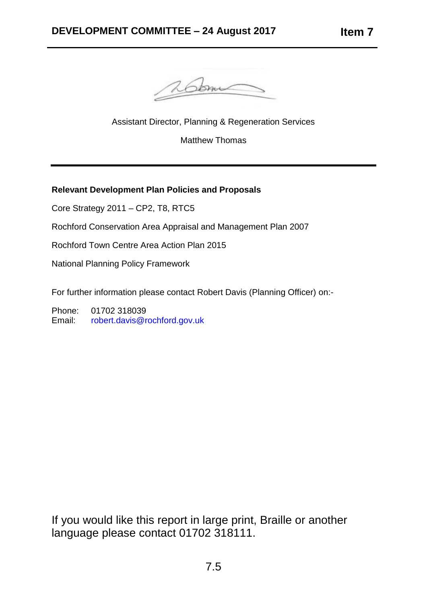

Assistant Director, Planning & Regeneration Services

Matthew Thomas

## **Relevant Development Plan Policies and Proposals**

Core Strategy 2011 – CP2, T8, RTC5

Rochford Conservation Area Appraisal and Management Plan 2007

Rochford Town Centre Area Action Plan 2015

National Planning Policy Framework

For further information please contact Robert Davis (Planning Officer) on:-

Phone: 01702 318039 Email: [robert.davis@rochford.gov.uk](mailto:robert.davis@rochford.gov.uk)

If you would like this report in large print, Braille or another language please contact 01702 318111.